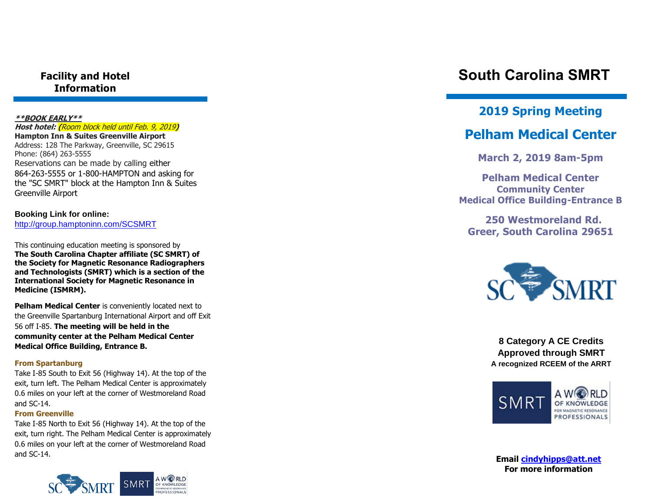**Facility and Hotel Information**

#### **\*\*BOOK EARLY\*\***

**Host hotel: (**Room block held until Feb. 9, 2019**) Hampton Inn & Suites Greenville Airport** Address: 128 The Parkway, Greenville, SC 29615 Phone: (864) 263 -5555 Reservations can be made by calling either 864 -263 -5555 or 1 -800 -HAMPTON and asking for the "SC SMRT" block at the Hampton Inn & Suites Greenville Airport

**Booking Link for online:**  [http://group.hamptoninn.com/SCSMRT](https://na01.safelinks.protection.outlook.com/?url=http%3A%2F%2Fgroup.hamptoninn.com%2FSCSMRT&data=02%7C01%7CBrian.Neely%40hilton.com%7Cde89f74d0d414eaf3be608d66d12c87a%7C660292d2cfd54a3db7a7e8f7ee458a0a%7C0%7C0%7C636816324767472969&sdata=WpCn%2FCpEVN0H%2B0BmP%2Bsa5gqxYSxAM3jT1NJ43RrvibM%3D&reserved=0)

This continuing education meeting is sponsored by **The South Carolina Chapter affiliate (SC SMRT) of the Society for Magnetic Resonance Radiographers and Technologists (SMRT) which is a section of the International Society for Magnetic Resonance in Medicine (ISMRM).**

**Pelham Medical Center** is conveniently located next to the Greenville Spartanburg International Airport and off Exit 56 off I -85. **The meeting will be held in the community center at the Pelham Medical Center Medical Office Building, Entrance B.**

### **From Spartanburg**

Take I -85 South to Exit 56 (Highway 14). At the top of the exit, turn left. The Pelham Medical Center is approximately 0.6 miles on your left at the corner of Westmoreland Road and SC -14.

### **From Greenville**

Take I -85 North to Exit 56 (Highway 14). At the top of the exit, turn right. The Pelham Medical Center is approximately 0.6 miles on your left at the corner of Westmoreland Road and SC -14.



# **South Carolina SMRT**

### **201 9 Spring Meeting**

## **Pelham Medical Center**

**March 2, 201 9 8am -5pm**

**Pelham Medical Center Community Center Medical Office Building -Entrance B**

 **250 Westmoreland Rd. Greer , South Carolina 29651**



**8 Category A CE Credits Approved through SMRT A recognized RCEEM of the ARRT**



**Email [cindyhipps@att.net](mailto:cindyhipps@att.net) For more information**